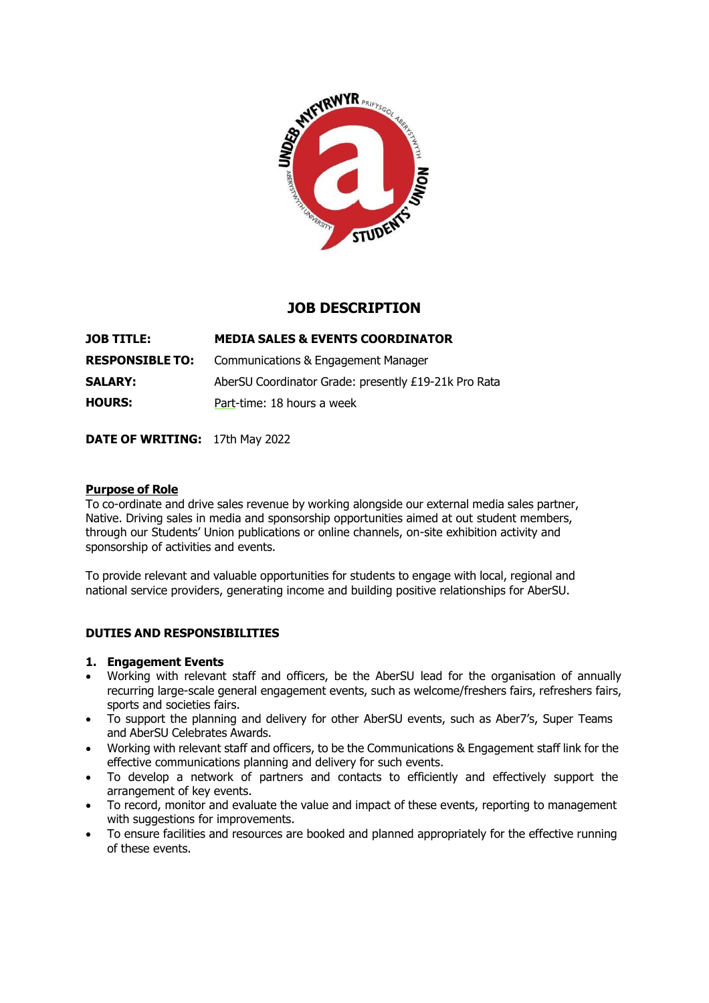

# **JOB DESCRIPTION**

| <b>JOB TITLE:</b>      | <b>MEDIA SALES &amp; EVENTS COORDINATOR</b>          |
|------------------------|------------------------------------------------------|
| <b>RESPONSIBLE TO:</b> | Communications & Engagement Manager                  |
| <b>SALARY:</b>         | AberSU Coordinator Grade: presently £19-21k Pro Rata |
| <b>HOURS:</b>          | Part-time: 18 hours a week                           |

**DATE OF WRITING:** 17th May 2022

#### **Purpose of Role**

To co-ordinate and drive sales revenue by working alongside our external media sales partner, Native. Driving sales in media and sponsorship opportunities aimed at out student members, through our Students' Union publications or online channels, on-site exhibition activity and sponsorship of activities and events.

To provide relevant and valuable opportunities for students to engage with local, regional and national service providers, generating income and building positive relationships for AberSU.

### **DUTIES AND RESPONSIBILITIES**

#### **1. Engagement Events**

- Working with relevant staff and officers, be the AberSU lead for the organisation of annually recurring large-scale general engagement events, such as welcome/freshers fairs, refreshers fairs, sports and societies fairs.
- To support the planning and delivery for other AberSU events, such as Aber7's, Super Teams and AberSU Celebrates Awards.
- Working with relevant staff and officers, to be the Communications & Engagement staff link for the effective communications planning and delivery for such events.
- To develop a network of partners and contacts to efficiently and effectively support the arrangement of key events.
- To record, monitor and evaluate the value and impact of these events, reporting to management with suggestions for improvements.
- To ensure facilities and resources are booked and planned appropriately for the effective running of these events.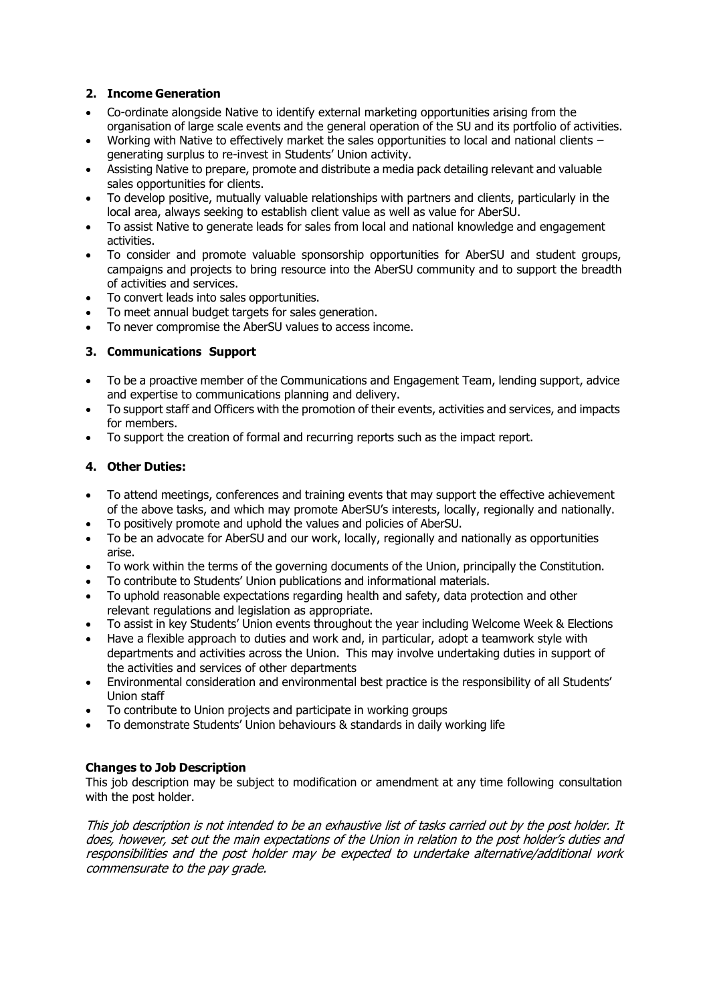### **2. Income Generation**

- Co-ordinate alongside Native to identify external marketing opportunities arising from the organisation of large scale events and the general operation of the SU and its portfolio of activities.
- Working with Native to effectively market the sales opportunities to local and national clients generating surplus to re-invest in Students' Union activity.
- Assisting Native to prepare, promote and distribute a media pack detailing relevant and valuable sales opportunities for clients.
- To develop positive, mutually valuable relationships with partners and clients, particularly in the local area, always seeking to establish client value as well as value for AberSU.
- To assist Native to generate leads for sales from local and national knowledge and engagement activities.
- To consider and promote valuable sponsorship opportunities for AberSU and student groups, campaigns and projects to bring resource into the AberSU community and to support the breadth of activities and services.
- To convert leads into sales opportunities.
- To meet annual budget targets for sales generation.
- To never compromise the AberSU values to access income.

### **3. Communications Support**

- To be a proactive member of the Communications and Engagement Team, lending support, advice and expertise to communications planning and delivery.
- To support staff and Officers with the promotion of their events, activities and services, and impacts for members.
- To support the creation of formal and recurring reports such as the impact report.

### **4. Other Duties:**

- To attend meetings, conferences and training events that may support the effective achievement of the above tasks, and which may promote AberSU's interests, locally, regionally and nationally.
- To positively promote and uphold the values and policies of AberSU.
- To be an advocate for AberSU and our work, locally, regionally and nationally as opportunities arise.
- To work within the terms of the governing documents of the Union, principally the Constitution.
- To contribute to Students' Union publications and informational materials.
- To uphold reasonable expectations regarding health and safety, data protection and other relevant regulations and legislation as appropriate.
- To assist in key Students' Union events throughout the year including Welcome Week & Elections
- Have a flexible approach to duties and work and, in particular, adopt a teamwork style with departments and activities across the Union. This may involve undertaking duties in support of the activities and services of other departments
- Environmental consideration and environmental best practice is the responsibility of all Students' Union staff
- To contribute to Union projects and participate in working groups
- To demonstrate Students' Union behaviours & standards in daily working life

### **Changes to Job Description**

This job description may be subject to modification or amendment at any time following consultation with the post holder.

This job description is not intended to be an exhaustive list of tasks carried out by the post holder. It does, however, set out the main expectations of the Union in relation to the post holder's duties and responsibilities and the post holder may be expected to undertake alternative/additional work commensurate to the pay grade.